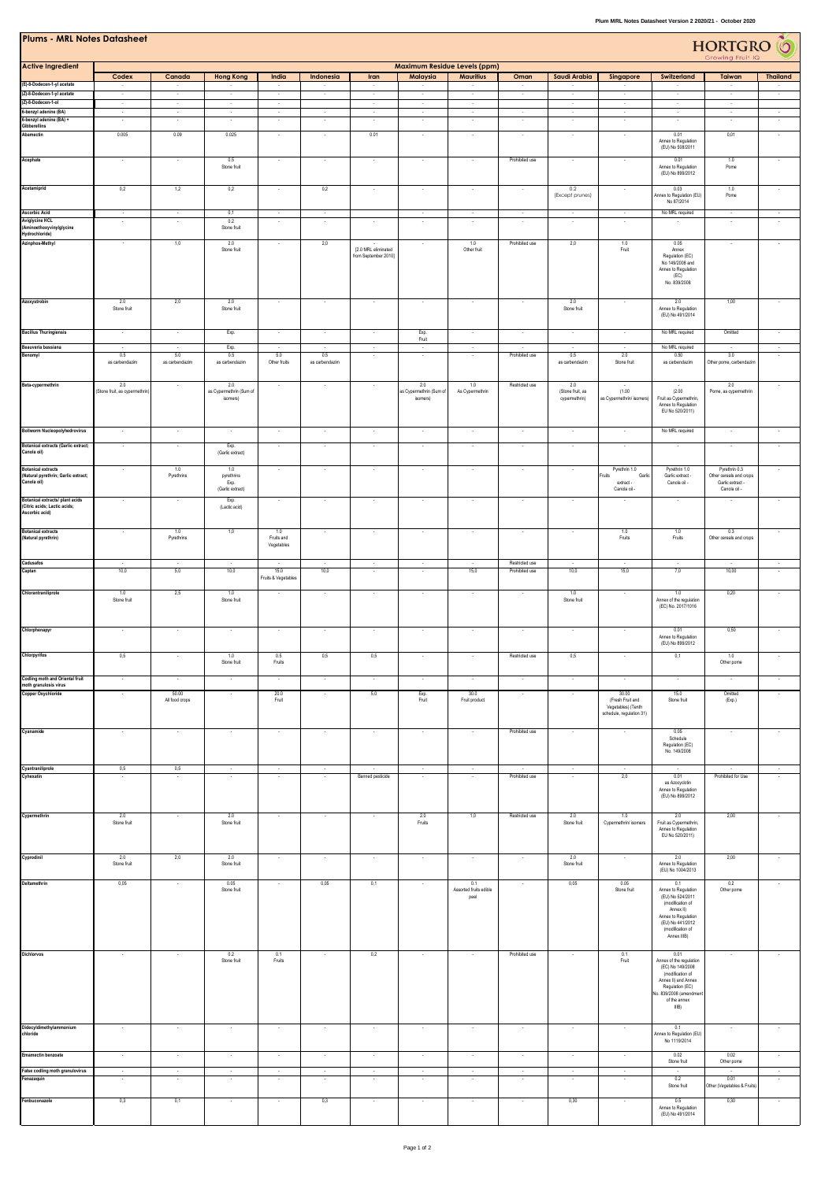| <b>Plums - MRL Notes Datasheet</b><br>HORTGRO <sup>C</sup><br>Growing Fruit IQ     |                                       |                          |                                |                          |                          |                      |                                |                                |                                  |                          |                                                |                                                                  |                                          |                          |
|------------------------------------------------------------------------------------|---------------------------------------|--------------------------|--------------------------------|--------------------------|--------------------------|----------------------|--------------------------------|--------------------------------|----------------------------------|--------------------------|------------------------------------------------|------------------------------------------------------------------|------------------------------------------|--------------------------|
| <b>Active Ingredient</b>                                                           |                                       |                          |                                |                          |                          |                      |                                | Maximum Residue Levels (ppm)   |                                  |                          |                                                |                                                                  |                                          |                          |
| (E)-8-Dodecen-1-yl acetate                                                         | Codex                                 | Canada                   | <b>Hong Kong</b>               | India                    | Indonesia                | Iran                 | Malaysia                       | <b>Mauritius</b>               | Oman                             | Saudi Arabia             | Singapore                                      | Switzerland                                                      | Taiwan                                   | <b>Thailand</b>          |
| (Z)-8-Dodecen-1-yl acetate<br>(Z)-8-Dodecen-1-ol                                   | $\sim$                                | $\sim$                   | $\sim$                         | $\sim$                   | ł                        | $\sim$               | $\sim$                         | $\sim$                         | $\overline{\phantom{a}}$         | $\sim$                   | $\sim$                                         | $\sim$                                                           | $\sim$                                   | $\overline{\phantom{a}}$ |
| 6-benzyl adenine (BA)<br>6-benzyl adenine (BA) +                                   | $\sim$                                | $\sim$                   | $\sim$<br>٠                    | $\sim$                   | $\sim$                   | $\sim$               | $\sim$                         | $\sim$                         | $\sim$<br>$\sim$                 | $\sim$<br>$\sim$         | $\sim$                                         | $\sim$<br>$\overline{\phantom{a}}$                               | $\sim$                                   | $\sim$                   |
| Gibberellins<br>Abamectin                                                          | 0.005                                 | 0.09                     | 0.025                          | $\cdot$                  | $\cdot$                  | 0.01                 | $\cdot$                        | $\cdot$                        | $\sim$                           | $\sim$                   | $\sim$                                         | 0.01<br>Annex to Regulation                                      | 0,01                                     | $\cdot$                  |
|                                                                                    |                                       |                          |                                |                          |                          |                      |                                |                                |                                  |                          |                                                | (EU) No 508/2011                                                 |                                          |                          |
| Acephate                                                                           | $\sim$                                | $\overline{\phantom{a}}$ | 0.5<br>Stone fruit             | $\sim$                   | $\sim$                   | $\sim$               | $\sim$                         | $\sim$                         | Prohibited use                   | $\sim$                   | $\sim$                                         | 0.01<br>Annex to Regulation                                      | 1.0<br>Pome                              | $\overline{\phantom{a}}$ |
| Acetamiprid                                                                        |                                       |                          |                                |                          | 0,2                      |                      |                                |                                |                                  |                          |                                                | (EU) No 899/2012                                                 |                                          |                          |
|                                                                                    | 0,2                                   | 1,2                      | 0.2                            |                          |                          |                      |                                |                                | $\sim$                           | 0.2<br>(Except prunes)   |                                                | 0.03<br>Annex to Regulation (EU)<br>No 87/2014                   | 1.0<br>Pome                              |                          |
| <b>Ascorbic Acid</b><br><b>Aviglycine HCL</b>                                      | $\sim$<br>$\sim$                      | $\sim$<br>$\sim$         | 0,1<br>0.2                     | $\sim$                   | $\sim$<br>$\sim$         |                      | $\sim$<br>$\sim$               | $\sim$<br>$\sim$               | $\sim$<br>$\sim$                 | $\sim$<br>$\sim$         | $\sim$<br>$\sim$                               | No MRL required<br>$\sim$                                        | $\sim$<br>$\sim$                         | $\sim$<br>$\sim$         |
| (Aminoethoxyvinylglycine<br>Hydrochloride)                                         |                                       |                          | Stone fruit                    | $\cdot$                  |                          | $\sim$               |                                |                                |                                  |                          |                                                |                                                                  |                                          |                          |
| Azinphos-Methyl                                                                    | $\overline{\phantom{a}}$              | 1,0                      | 2.0<br>Stone fruit             | $\sim$                   | 2,0                      | [2.0 MRL eliminated  | $\sim$                         | 1.0<br>Other fruit             | Prohibited use                   | 2,0                      | 1.0<br>Fruit                                   | 0.05<br>Annex                                                    |                                          | $\sim$                   |
|                                                                                    |                                       |                          |                                |                          |                          | from September 2010] |                                |                                |                                  |                          |                                                | Regulation (EC)<br>No 149/2008 and<br>Annex to Regulation        |                                          |                          |
|                                                                                    |                                       |                          |                                |                          |                          |                      |                                |                                |                                  |                          |                                                | (EC)<br>No. 839/2008                                             |                                          |                          |
| Azoxystrobin                                                                       |                                       |                          |                                |                          |                          | $\sim$               |                                |                                |                                  |                          |                                                |                                                                  |                                          |                          |
|                                                                                    | 2.0<br>Stone fruit                    | 2,0                      | 2.0<br>Stone fruit             | $\cdot$                  | $\cdot$                  |                      | $\sim$                         | $\cdot$                        | $\cdot$                          | 2.0<br>Stone fruit       |                                                | 2.0<br>Annex to Regulation<br>(EU) No 491/2014                   | 1,00                                     | $\sim$                   |
| <b>Bacillus Thuringiensis</b>                                                      | $\sim$                                | $\sim$                   | $\overline{\mathsf{Exp}}.$     | $\sim$                   | $\epsilon$               | $\sim$               |                                | $\sim$                         | $\sim$                           | $\sim$                   | $\epsilon$                                     | No MRL required                                                  | Omitted                                  | $\overline{\phantom{a}}$ |
| Beauveria bassiana                                                                 | $\sim$                                | $\sim$                   | Exp.                           | ٠                        | $\sim$                   | $\sim$               | Exp.<br>Fruit<br>$\sim$        | $\sim$                         | $\sim$                           | $\sim$                   | $\sim$                                         | No MRL required                                                  |                                          | $\sim$                   |
| Benomyl                                                                            | 0.5<br>as carbendazim                 | 5.0<br>as carbendazim    | 0.5<br>as carbendazim          | 5.0<br>Other fruits      | 0.5<br>as carbendazim    |                      | $\overline{\phantom{a}}$       |                                | Prohibited use                   | 0.5<br>as carbendazim    | 2.0<br>Stone fruit                             | 0.50<br>as carbendazim                                           | 3.0<br>Other pome, carbendazin           | $\overline{\phantom{a}}$ |
|                                                                                    |                                       |                          |                                |                          |                          |                      |                                |                                |                                  |                          |                                                |                                                                  |                                          |                          |
| Beta-cypermethrin                                                                  | 2.0<br>(Stone fruit, as cypermethrin) | $\overline{\phantom{a}}$ | 2.0<br>as Cypermethrin (Sum of | $\sim$                   | $\sim$                   |                      | 2.0<br>as Cypermethrin (Sum of | 1.0<br>As Cypermethrin         | Restricted use                   | 2.0<br>(Stone fruit, as  | (1.00)                                         | (2.00)                                                           | 2.0<br>Pome, as cypermethrin             | $\overline{\phantom{a}}$ |
|                                                                                    |                                       |                          | isomers)                       |                          |                          |                      | isomers)                       |                                |                                  | cypermethrin)            | as Cypermethrin/ isomers)                      | Fruit as Cypermethrin,<br>Annex to Regulation<br>EU No 520/2011) |                                          |                          |
|                                                                                    |                                       |                          |                                |                          |                          |                      |                                |                                |                                  |                          |                                                |                                                                  |                                          |                          |
| <b>Bollworm Nucleopolyhedrovirus</b><br><b>Botanical extracts (Garlic extract;</b> |                                       |                          |                                |                          |                          |                      |                                |                                |                                  |                          |                                                | No MRL required                                                  |                                          |                          |
| Canola oil)                                                                        |                                       | $\sim$                   | Exp.<br>(Garlic extract)       | $\sim$                   | $\sim$                   | $\sim$               | $\sim$                         | $\sim$                         | $\sim$                           | $\sim$                   | $\sim$                                         | $\bullet$                                                        | $\sim$                                   | $\sim$                   |
| <b>Botanical extracts</b><br>(Natural pyrethrin; Garlic extract;                   |                                       | 1.0<br>Pyrethrins        | 1.0<br>pyrethrins              | $\sim$                   | $\sim$                   |                      | $\sim$                         | $\sim$                         | $\overline{\phantom{a}}$         | ٠                        | Pyrethrin 1.0<br>Garlic<br>Fruits              | Pyrethrin 1.0<br>Garlic extract -                                | Pyrethrin 0.3<br>Other cereals and crops | $\overline{\phantom{a}}$ |
| Canola oil)                                                                        |                                       |                          | Exp.<br>(Garlic extract)       |                          |                          |                      |                                |                                |                                  |                          | extract -<br>Canola oil -                      | Canola oil -                                                     | Garlic extract -<br>Canola oil -         |                          |
| Botanical extracts/ plant acids<br>(Citric acids; Lactic acids;                    |                                       | $\overline{\phantom{a}}$ | Exp.<br>(Lactic acid)          | $\overline{\phantom{a}}$ |                          |                      | $\overline{\phantom{a}}$       | $\cdot$                        |                                  | $\overline{\phantom{a}}$ |                                                | $\cdot$                                                          |                                          | $\epsilon$               |
| Ascorbic acid)                                                                     |                                       |                          |                                |                          |                          |                      |                                |                                |                                  |                          |                                                |                                                                  |                                          |                          |
| <b>Botanical extracts</b><br>(Natural pyrethrin)                                   |                                       | 1.0<br>Pyrethrins        | 1,0                            | 1.0<br>Fruits and        |                          |                      |                                |                                |                                  |                          | 1.0<br>Fruits                                  | 1.0<br>Fruits                                                    | 0.3<br>Other cereals and crops           |                          |
|                                                                                    |                                       |                          |                                | Vegetables               |                          |                      |                                |                                |                                  |                          |                                                |                                                                  |                                          |                          |
| Cadusafos<br>Captan                                                                | 10,0                                  | 5,0                      | 10,0                           | 15.0                     | 10,0                     | $\sim$               | $\sim$                         | 15,0                           | Restricted use<br>Prohibited use | 10,0                     | 15,0                                           | 7,0                                                              | 10,00                                    | $\cdot$<br>$\sim$        |
| Chlorantraniliprole                                                                |                                       |                          |                                | Fruits & Vegetable       |                          |                      |                                |                                |                                  |                          |                                                |                                                                  |                                          |                          |
|                                                                                    | 1.0<br>Stone fruit                    | 2,5                      | 1.0<br>Stone fruit             | $\overline{\phantom{a}}$ |                          |                      | ×                              | $\overline{\phantom{a}}$       |                                  | 1.0<br>Stone fruit       | $\overline{\phantom{a}}$                       | 1.0<br>Annex of the regulation<br>(EC) No. 2017/1016             | 0,20                                     |                          |
|                                                                                    |                                       |                          |                                |                          |                          |                      |                                |                                |                                  |                          |                                                |                                                                  |                                          |                          |
| Chlorphenapyr                                                                      | ÷.                                    |                          | ٠                              |                          |                          |                      | ÷.                             | $\sim$                         |                                  | ×                        |                                                | 0.01<br>Annex to Regulation                                      | 0,50                                     |                          |
| Chlorpyrifos                                                                       | 0,5                                   |                          | 1.0                            | 0.5                      | 0,5                      | 0,5                  | $\cdot$                        | $\cdot$                        | Restricted use                   | 0,5                      |                                                | (EU) No 899/2012<br>0,1                                          | 1.0                                      | $\cdot$                  |
|                                                                                    |                                       |                          | Stone fruit                    | Fruits                   |                          |                      |                                |                                |                                  |                          |                                                |                                                                  | Other pome                               |                          |
| Codling moth and Oriental fruit<br>moth granulosis virus                           |                                       |                          | ٠                              |                          |                          |                      |                                |                                |                                  |                          |                                                |                                                                  |                                          |                          |
| Copper Oxychloride                                                                 |                                       | 50.00<br>All food crops  |                                | 20.0<br>Fruit            |                          | 5,0                  | Exp.<br>Fruit                  | 30.0<br>Fruit product          |                                  |                          | 30.00<br>(Fresh Fruit and                      | 15.0<br>Stone fruit                                              | Omitted<br>(Exp.)                        |                          |
|                                                                                    |                                       |                          |                                |                          |                          |                      |                                |                                |                                  |                          | Vegetables) (Tenth<br>schedule, regulation 31) |                                                                  |                                          |                          |
| Cyanamide                                                                          | $\overline{\phantom{a}}$              | $\sim$                   | $\overline{\phantom{a}}$       | $\cdot$                  | $\epsilon$               | $\sim$               | $\overline{\phantom{a}}$       | $\cdot$                        | Prohibited use                   | $\sim$                   |                                                | 0.05<br>Schedule                                                 | $\sim$                                   | $\sim$                   |
|                                                                                    |                                       |                          |                                |                          |                          |                      |                                |                                |                                  |                          |                                                | Regulation (EC)<br>No. 149/2008                                  |                                          |                          |
| Cyantraniliprole                                                                   | 0,5                                   | 0,5                      | $\sim$                         | $\sim$                   | $\sim$                   |                      | $\sim$                         | $\sim$                         |                                  | $\sim$                   | $\sim$                                         | $\overline{\phantom{a}}$                                         |                                          | $\sim$                   |
| Cyhexatin                                                                          | ٠.                                    | $\overline{\phantom{a}}$ | $\overline{\phantom{a}}$       | $\sim$                   | $\overline{\phantom{a}}$ | Banned pesticide     | $\sim$                         | $\sim$                         | Prohibited use                   | ٠                        | 2,0                                            | 0.01<br>as Azocyclotin                                           | Prohibited for Use                       | $\sim$                   |
|                                                                                    |                                       |                          |                                |                          |                          |                      |                                |                                |                                  |                          |                                                | Annex to Regulation<br>(EU) No 899/2012                          |                                          |                          |
| Cypermethrin                                                                       | 2.0                                   | $\overline{\phantom{a}}$ | 2.0                            | $\cdot$                  |                          |                      | 2.0                            | 1,0                            | Restricted use                   | 2.0                      | 1.0                                            | 2.0                                                              | 2,00                                     | $\cdot$                  |
|                                                                                    | Stone fruit                           |                          | Stone fruit                    |                          |                          |                      | Fruits                         |                                |                                  | Stone fruit              | Cypermethrin/ isomers                          | Fruit as Cypermethrin,<br>Annex to Regulation<br>EU No 520/2011) |                                          |                          |
|                                                                                    |                                       |                          |                                |                          |                          |                      |                                |                                |                                  |                          |                                                |                                                                  |                                          |                          |
| Cyprodinil                                                                         | 2.0<br>Stone fruit                    | 2,0                      | 2.0<br>Stone fruit             | $\sim$                   | $\sim$                   | $\sim$               | $\sim$                         | $\sim$                         | $\sim$                           | 2.0<br>Stone fruit       | $\sim$                                         | 2.0<br>Annex to Regulation                                       | 2,00                                     | $\overline{\phantom{a}}$ |
| Deltamethrin                                                                       | 0,05                                  |                          | 0.05                           | ٠                        | 0,05                     | 0,1                  |                                | 0.1                            |                                  | 0,05                     | 0.05                                           | (EU) No 1004/2013<br>0.1                                         | 0.2                                      | $\sim$                   |
|                                                                                    |                                       |                          | Stone fruit                    |                          |                          |                      |                                | Assorted fruits edible<br>peel |                                  |                          | Stone fruit                                    | Annex to Regulation<br>(EU) No 524/2011                          | Other pome                               |                          |
|                                                                                    |                                       |                          |                                |                          |                          |                      |                                |                                |                                  |                          |                                                | (modification of<br>Annex II)<br>Annex to Regulation             |                                          |                          |
|                                                                                    |                                       |                          |                                |                          |                          |                      |                                |                                |                                  |                          |                                                | (EU) No 441/2012<br>(modification of                             |                                          |                          |
|                                                                                    |                                       |                          |                                |                          |                          |                      |                                |                                |                                  |                          |                                                | Annex IIIB)                                                      |                                          |                          |
| Dichlorvos                                                                         |                                       |                          | 0.2<br>Stone fruit             | 0.1<br>Fruits            |                          | 0,2                  | ÷.                             |                                | Prohibited use                   |                          | 0.1<br>Fruit                                   | 0.01<br>Annex of the regulation                                  |                                          |                          |
|                                                                                    |                                       |                          |                                |                          |                          |                      |                                |                                |                                  |                          |                                                | (EC) No 149/2008<br>(modification of<br>Annex II) and Annex      |                                          |                          |
|                                                                                    |                                       |                          |                                |                          |                          |                      |                                |                                |                                  |                          |                                                | Regulation (EC)<br>No. 839/2008 (amendme                         |                                          |                          |
|                                                                                    |                                       |                          |                                |                          |                          |                      |                                |                                |                                  |                          |                                                | of the annex<br>IIIB)                                            |                                          |                          |
| Didecyldimethylammonium                                                            |                                       |                          | ٠                              | ÷.                       |                          |                      |                                |                                |                                  |                          |                                                | 0.1                                                              |                                          |                          |
| chloride                                                                           |                                       |                          |                                |                          |                          |                      |                                |                                |                                  |                          |                                                | Annex to Regulation (EU)<br>No 1119/2014                         |                                          |                          |
| Emamectin benzoate                                                                 | $\sim$                                | $\sim$                   | $\sim$                         | $\overline{\phantom{a}}$ | $\sim$                   | $\sim$               | $\sim$                         | $\sim$                         | $\sim$                           | $\sim$                   |                                                | 0.02<br>Stone fruit                                              | 0.02<br>Other pome                       | $\sim$                   |
| False codling moth granulovirus<br>Fenazaquin                                      | $\sim$                                | $\sim$                   | $\sim$                         | $\sim$                   | $\sim$                   | $\sim$               | $\sim$                         | $\sim$                         | $\sim$                           | $\sim$                   | $\sim$                                         | $\cdot$<br>0.2                                                   | 0.01                                     | $\sim$                   |
|                                                                                    |                                       |                          |                                |                          |                          |                      |                                |                                |                                  |                          |                                                | Stone fruit                                                      | Other (Vegetables & Fruits)              |                          |
| Fenbuconazole                                                                      | 0,3                                   | 0,1                      | $\overline{\phantom{a}}$       | $\overline{\phantom{a}}$ | 0,3                      |                      | ×                              | $\sim$                         | $\sim$                           | 0,30                     |                                                | 0.5<br>Annex to Regulation<br>(EU) No 491/2014                   | 0,30                                     |                          |
|                                                                                    |                                       |                          |                                |                          |                          |                      |                                |                                |                                  |                          |                                                |                                                                  |                                          |                          |